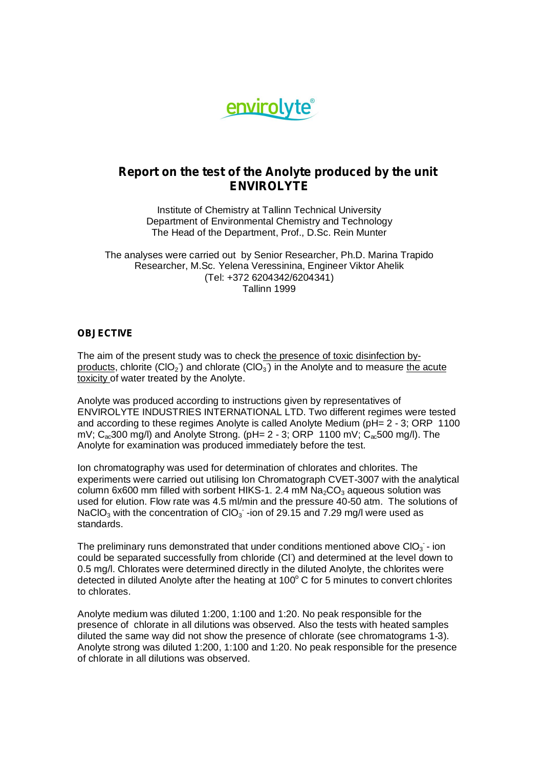

# **Report on the test of the Anolyte produced by the unit ENVIROLYTE**

Institute of Chemistry at Tallinn Technical University Department of Environmental Chemistry and Technology The Head of the Department, Prof., D.Sc. Rein Munter

The analyses were carried out by Senior Researcher, Ph.D. Marina Trapido Researcher, M.Sc. Yelena Veressinina, Engineer Viktor Ahelik (Tel: +372 6204342/6204341) Tallinn 1999

## **OBJECTIVE**

The aim of the present study was to check the presence of toxic disinfection byproducts, chlorite (ClO<sub>2</sub>) and chlorate (ClO<sub>3</sub>) in the Anolyte and to measure the acute toxicity of water treated by the Anolyte.

Anolyte was produced according to instructions given by representatives of ENVIROLYTE INDUSTRIES INTERNATIONAL LTD. Two different regimes were tested and according to these regimes Anolyte is called Anolyte Medium (pH= 2 - 3; ORP 1100 mV;  $C_{\alpha}$ 300 mg/l) and Anolyte Strong. (pH= 2 - 3; ORP 1100 mV;  $C_{\alpha}$ 500 mg/l). The Anolyte for examination was produced immediately before the test.

Ion chromatography was used for determination of chlorates and chlorites. The experiments were carried out utilising Ion Chromatograph CVET-3007 with the analytical column 6x600 mm filled with sorbent HIKS-1. 2.4 mM  $Na<sub>2</sub>CO<sub>3</sub>$  aqueous solution was used for elution. Flow rate was 4.5 ml/min and the pressure 40-50 atm. The solutions of NaClO<sub>3</sub> with the concentration of ClO<sub>3</sub> -ion of 29.15 and 7.29 mg/l were used as standards.

The preliminary runs demonstrated that under conditions mentioned above ClO $_3$  - ion could be separated successfully from chloride (CI) and determined at the level down to 0.5 mg/l. Chlorates were determined directly in the diluted Anolyte, the chlorites were detected in diluted Anolyte after the heating at  $100^{\circ}$  C for 5 minutes to convert chlorites to chlorates.

Anolyte medium was diluted 1:200, 1:100 and 1:20. No peak responsible for the presence of chlorate in all dilutions was observed. Also the tests with heated samples diluted the same way did not show the presence of chlorate (see chromatograms 1-3). Anolyte strong was diluted 1:200, 1:100 and 1:20. No peak responsible for the presence of chlorate in all dilutions was observed.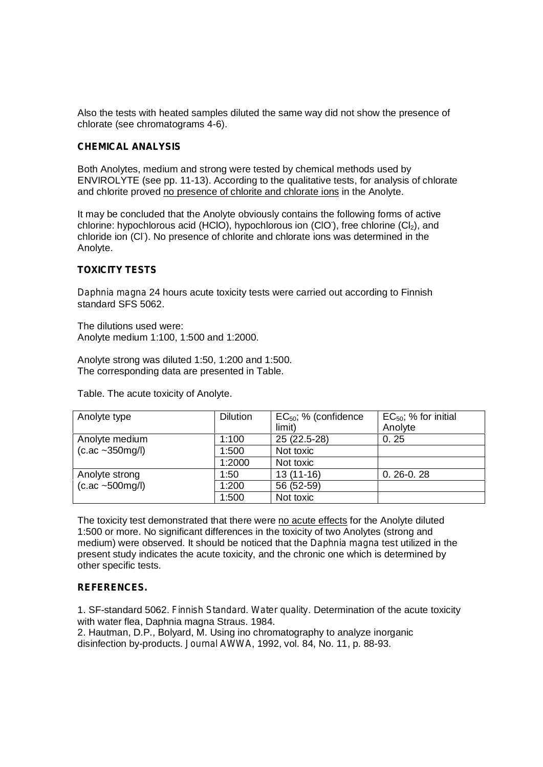Also the tests with heated samples diluted the same way did not show the presence of chlorate (see chromatograms 4-6).

### **CHEMICAL ANALYSIS**

Both Anolytes, medium and strong were tested by chemical methods used by ENVIROLYTE (see pp. 11-13). According to the qualitative tests, for analysis of chlorate and chlorite proved no presence of chlorite and chlorate ions in the Anolyte.

It may be concluded that the Anolyte obviously contains the following forms of active chlorine: hypochlorous acid (HClO), hypochlorous ion (ClO), free chlorine (Cl<sub>2</sub>), and chloride ion (CI). No presence of chlorite and chlorate ions was determined in the Anolyte.

### **TOXICITY TESTS**

*Daphnia magna* 24 hours acute toxicity tests were carried out according to Finnish standard SFS 5062.

The dilutions used were: Anolyte medium 1:100, 1:500 and 1:2000.

Anolyte strong was diluted 1:50, 1:200 and 1:500. The corresponding data are presented in Table.

Table. The acute toxicity of Anolyte.

| Anolyte type                                          | <b>Dilution</b> | $EC_{50}$ ; % (confidence | $EC_{50}$ ; % for initial |
|-------------------------------------------------------|-----------------|---------------------------|---------------------------|
|                                                       |                 | limit)                    | Anolyte                   |
| Anolyte medium                                        | 1:100           | 25 (22.5-28)              | 0.25                      |
| $(c.ac - 350mg/l)$                                    | 1:500           | Not toxic                 |                           |
|                                                       | 1:2000          | Not toxic                 |                           |
| Anolyte strong<br>$(c \cdot ac \sim 500 \text{mg/l})$ | 1:50            | $13(11-16)$               | $0.26 - 0.28$             |
|                                                       | 1:200           | 56 (52-59)                |                           |
|                                                       | 1:500           | Not toxic                 |                           |

The toxicity test demonstrated that there were no acute effects for the Anolyte diluted 1:500 or more. No significant differences in the toxicity of two Anolytes (strong and medium) were observed. It should be noticed that the *Daphnia magna* test utilized in the present study indicates the acute toxicity, and the chronic one which is determined by other specific tests.

### **REFERENCES.**

1. SF-standard 5062. *Finnish Standard*. *Water quality*. Determination of the acute toxicity with water flea. Daphnia magna Straus. 1984.

2. Hautman, D.P., Bolyard, M. Using ino chromatography to analyze inorganic disinfection by-products. *Journal AWWA*, 1992, vol. 84, No. 11, p. 88-93.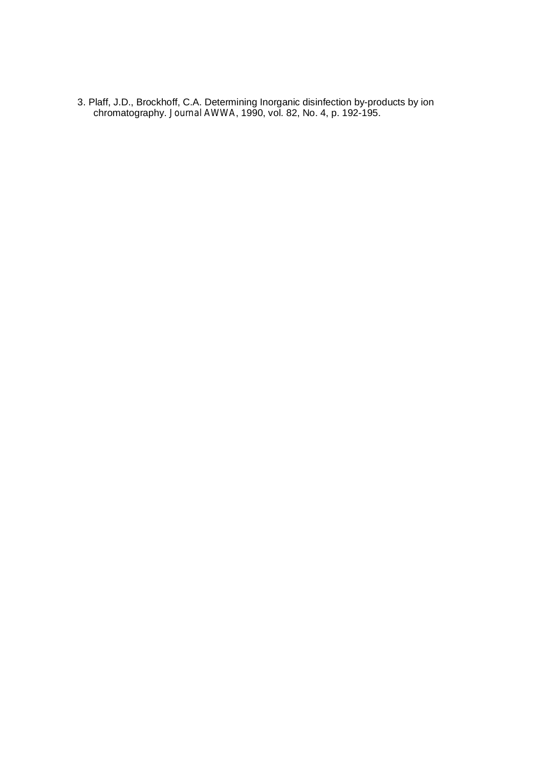3. Plaff, J.D., Brockhoff, C.A. Determining Inorganic disinfection by-products by ion chromatography. *Journal AWWA*, 1990, vol. 82, No. 4, p. 192-195.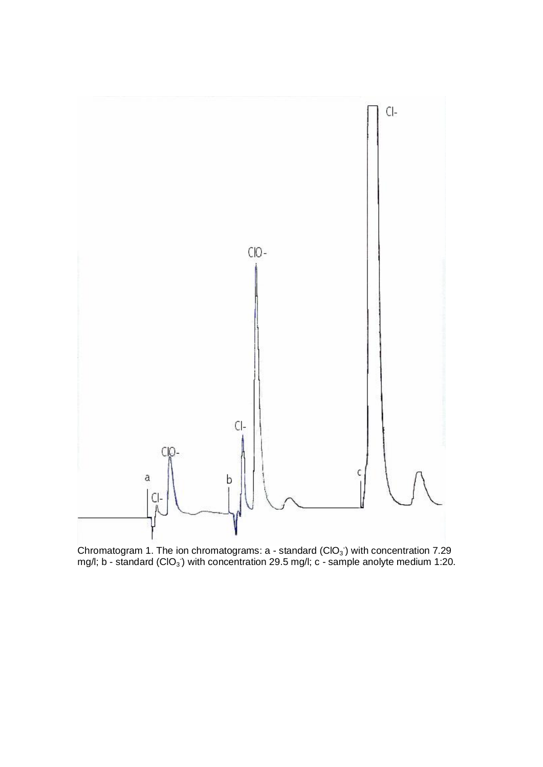

Chromatogram 1. The ion chromatograms:  $a$  - standard (CIO<sub>3</sub>) with concentration 7.29 mg/l; b - standard (CIO<sub>3</sub>) with concentration 29.5 mg/l; c - sample anolyte medium 1:20.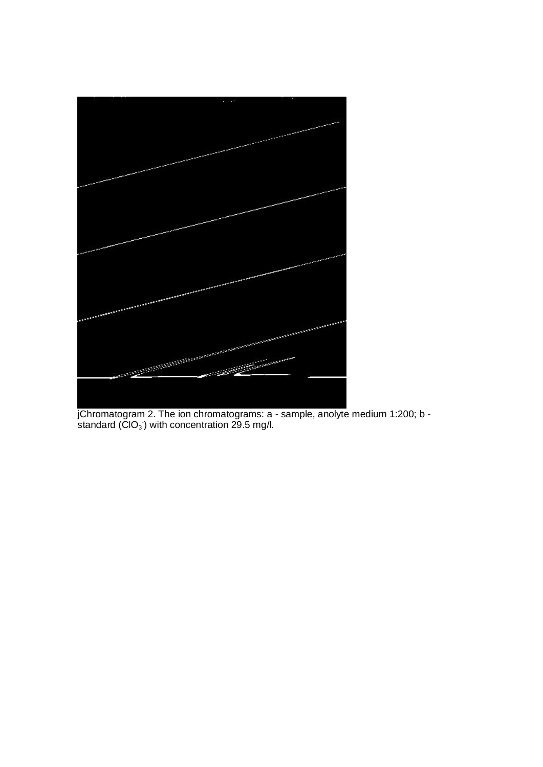

jChromatogram 2. The ion chromatograms: a - sample, anolyte medium 1:200; b standard ( $\textsf{ClO}_3$ ) with concentration 29.5 mg/l.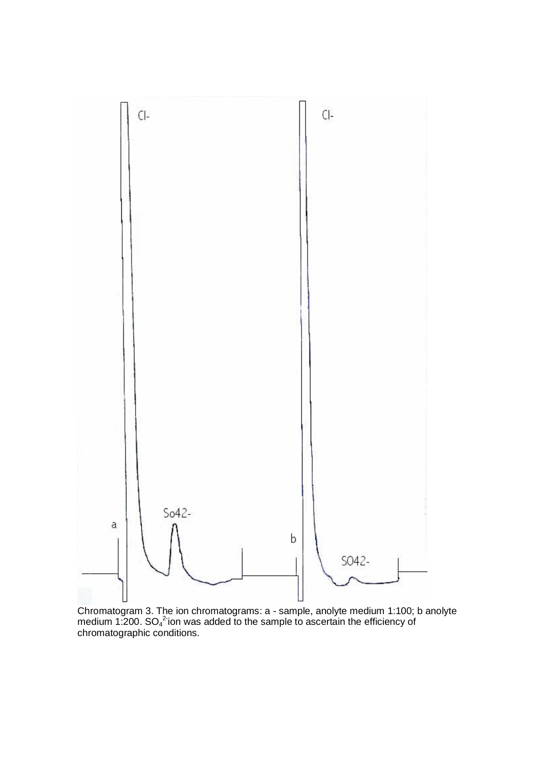

Chromatogram 3. The ion chromatograms: a - sample, anolyte medium 1:100; b anolyte medium 1:200.  $SO_4^2$ ion was added to the sample to ascertain the efficiency of chromatographic conditions.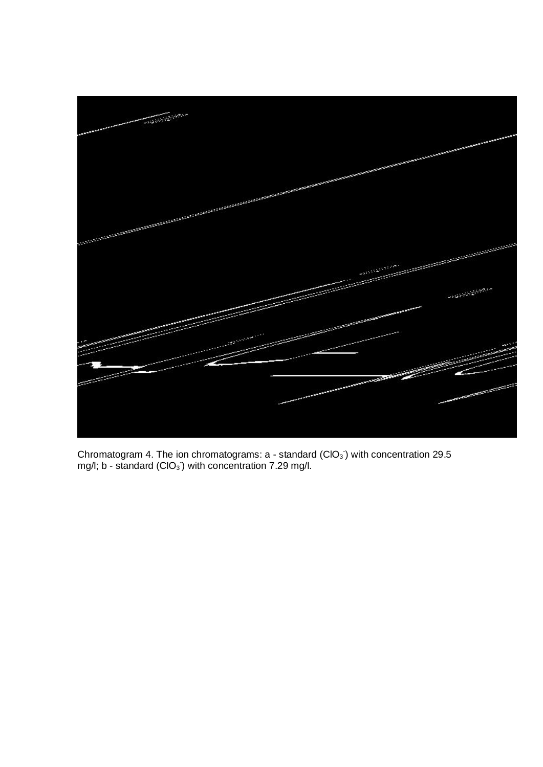

Chromatogram 4. The ion chromatograms:  $a$  - standard (CIO<sub>3</sub>) with concentration 29.5 mg/l; b - standard (CIO $_3$ ) with concentration 7.29 mg/l.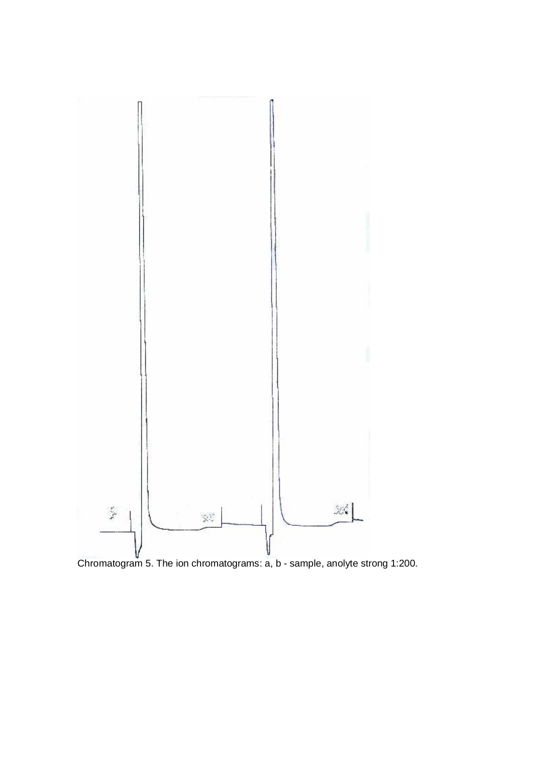

Chromatogram 5. The ion chromatograms:  $a, b$  - sample, anolyte strong 1:200.